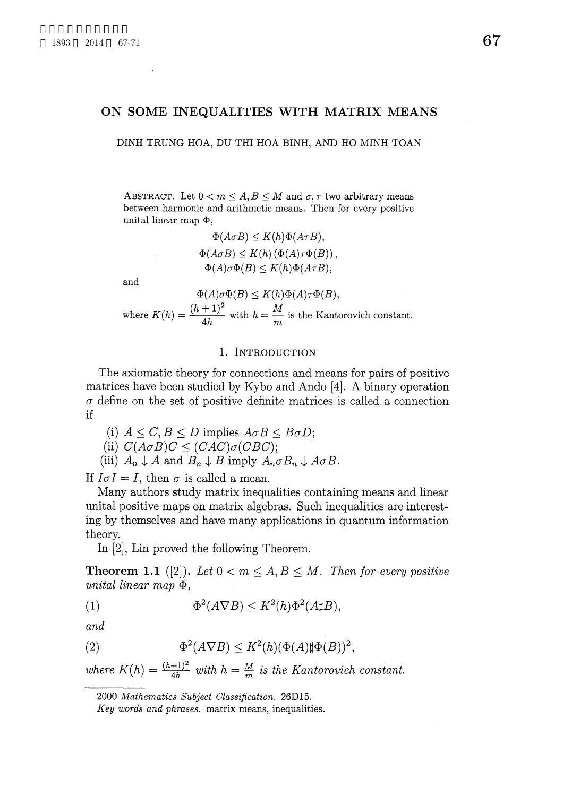## ON SOME INEQUALITIES WITH MATRIX MEANS

DINH TRUNG HOA, DU THI HOA BINH, AND HO MINH TOAN

ABSTRACT. Let  $0 < m \leq A, B \leq M$  and  $\sigma, \tau$  two arbitrary means between harmonic and arithmetic means. Then for every positive unital linear map  $\Phi$ ,

> $\Phi(A\sigma B)\leq K(h)\Phi(A\tau B)$  ,  $\Phi(A\sigma B)\leq K(h)(\Phi(A)\tau\Phi(B))$  ,  $\Phi(A)\sigma\Phi(B)\leq K(h)\Phi(A\tau B)$  ,

and

 $\Phi(A)\sigma\Phi(B)\leq K(h)\Phi(A)\tau\Phi(B)$  , where  $K(h) = \frac{(h+1)^{2}}{4h}$  with  $h = \frac{M}{m}$  is the Kantorovich constant.

## 1. INTRODUCTION

The axiomatic theory for connections and means for pairs of positive matrices have been studied by Kybo and Ando  $[4]$ . A binary operation  $\sigma$  define on the set of positive definite matrices is called a connection if

(i)  $A \leq C, B \leq D$  implies  $A\sigma B \leq B\sigma D$ ; (ii)  $C(A\sigma B)C \leq (CAC)\sigma(CBC);$ 

(iii)  $A_{n}\downarrow A$  and  $B_{n}\downarrow B$  imply  $A_{n}\sigma B_{n}\downarrow A\sigma B$ .

If  $I \sigma I = I$ , then  $\sigma$  is called a mean.

Many authors study matrix inequalities containing means and linear unital positive maps on matrix algebras. Such inequalities are interesting by themselves and have many applications in quantum information theory.

In [2], Lin proved the following Theorem.

**Theorem 1.1** ([2]). Let  $0 < m \leq A, B \leq M$ . Then for every positive unital linear map  $\Phi$ ,

(1) 
$$
\Phi^2(A\nabla B) \le K^2(h)\Phi^2(A\sharp B),
$$

and

(2) 
$$
\Phi^2(A\nabla B) \le K^2(h)(\Phi(A)\sharp\Phi(B))^2,
$$

where  $K(h) = \frac{(h+1)^{2}}{4h}$  with  $h = \frac{M}{m}$  is the Kantorovich constant.

<sup>2000</sup> Mathematics Subject Classification. 26D15.

Key words and phrases. matrix means, inequalities.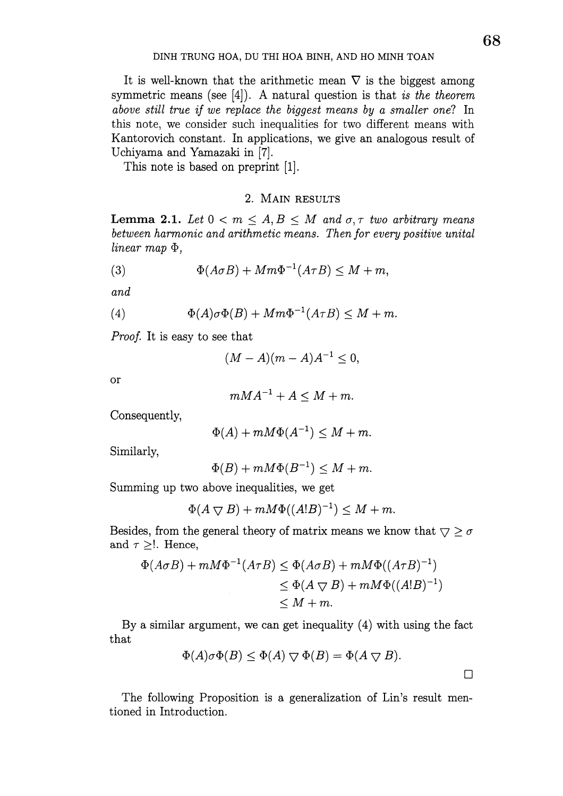It is well-known that the arithmetic mean  $\nabla$  is the biggest among symmetric means (see  $[4]$ ). A natural question is that is the theorem above still true if we replace the biggest means by a smaller one? In this note, we consider such inequalities for two different means with Kantorovich constant. In applications, we give an analogous result of Uchiyama and Yamazaki in [7].

This note is based on preprint [1].

## 2. MAIN RESULTS

**Lemma 2.1.** Let  $0 < m \leq A, B \leq M$  and  $\sigma, \tau$  two arbitrary means between harmonic and arithmetic means. Then for every positive unital linear map  $\Phi$ ,

(3) 
$$
\Phi(A\sigma B) + Mm\Phi^{-1}(A\tau B) \leq M + m,
$$

and

(4) 
$$
\Phi(A)\sigma\Phi(B) + Mm\Phi^{-1}(A\tau B) \leq M+m.
$$

Proof. It is easy to see that

$$
(M-A)(m-A)A^{-1}\leq 0,
$$

or

$$
mMA^{-1} + A \leq M + m.
$$

Consequently,

$$
\Phi(A) + mM\Phi(A^{-1}) \leq M + m.
$$

Similarly,

$$
\Phi(B) + mM\Phi(B^{-1}) \le M + m.
$$

Summing up two above inequalities, we get

$$
\Phi(A \bigtriangledown B) + mM \Phi((A!B)^{-1}) \le M + m.
$$

Besides, from the general theory of matrix means we know that  $\bigtriangledown\geq\sigma$ and  $\tau \geq$ !. Hence,

$$
\Phi(A \sigma B) + mM\Phi^{-1}(A \tau B) \le \Phi(A \sigma B) + mM\Phi((A \tau B)^{-1})
$$
  

$$
\le \Phi(A \bigtriangledown B) + mM\Phi((A!B)^{-1})
$$
  

$$
\le M + m.
$$

By a similar argument, we can get inequality (4) with using the fact that

$$
\Phi(A)\sigma\Phi(B)\leq \Phi(A)\bigtriangledown \Phi(B)=\Phi(A\bigtriangledown B).
$$

The following Proposition is a generalization of Lin's result mentioned in Introduction.

 $\Box$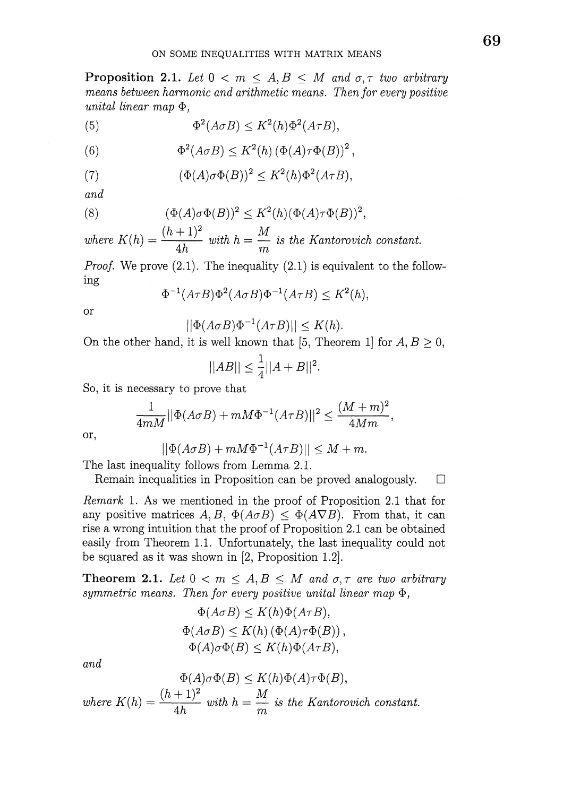**Proposition 2.1.** Let  $0 < m \leq A, B \leq M$  and  $\sigma, \tau$  two arbitrary means between harmonic and arithmetic means. Then for every positive unital linear map  $\Phi$ ,

(5) 
$$
\Phi^2(A\sigma B) \leq K^2(h)\Phi^2(A\tau B),
$$

(6) 
$$
\Phi^2(A\sigma B) \leq K^2(h) \left(\Phi(A)\tau\Phi(B)\right)^2,
$$

(7) 
$$
(\Phi(A)\sigma\Phi(B))^2 \leq K^2(h)\Phi^2(A\tau B),
$$

and

(8) 
$$
(\Phi(A)\sigma\Phi(B))^2 \leq K^2(h)(\Phi(A)\tau\Phi(B))^2,
$$

where  $K(h) = \frac{(h+1)^{2}}{4h}$  with  $h = \frac{M}{m}$  is the Kantorovich constant.

*Proof.* We prove  $(2.1)$ . The inequality  $(2.1)$  is equivalent to the following

$$
\Phi^{-1}(A\tau B)\Phi^{2}(A\sigma B)\Phi^{-1}(A\tau B)\leq K^{2}(h),
$$

or

$$
||\Phi(A\sigma B)\Phi^{-1}(A\tau B)|| \leq K(h).
$$

On the other hand, it is well known that [5, Theorem 1] for  $A, B \geq 0$ ,

$$
||AB|| \leq \frac{1}{4}||A+B||^{2}.
$$

So, it is necessary to prove that

$$
\frac{1}{4mM}||\Phi(A\sigma B) + mM\Phi^{-1}(A\tau B)||^2 \le \frac{(M+m)^2}{4Mm},
$$

or,

$$
||\Phi(A\sigma B) + mM\Phi^{-1}(A\tau B)|| \le M + m.
$$

The last inequality follows from Lemma 2.1.

Remain inequalities in Proposition can be proved analogously.  $\Box$ 

Remark 1. As we mentioned in the proof of Proposition 2.1 that for any positive matrices  $A, B, \Phi(A\sigma B) \leq \Phi(A\nabla B)$ . From that, it can rise a wrong intuition that the proof of Proposition 2.1 can be obtained easily from Theorem 1.1. Unfortunately, the last inequality could not be squared as it was shown in [2, Proposition 1.2].

**Theorem 2.1.** Let  $0 < m \leq A, B \leq M$  and  $\sigma, \tau$  are two arbitrary symmetric means. Then for every positive unital linear map  $\Phi$ ,

$$
\Phi(A \sigma B) \le K(h)\Phi(A \tau B),
$$
  
\n
$$
\Phi(A \sigma B) \le K(h) (\Phi(A) \tau \Phi(B)),
$$
  
\n
$$
\Phi(A) \sigma \Phi(B) \le K(h)\Phi(A \tau B),
$$

and

$$
\Phi(A)\sigma\Phi(B) \le K(h)\Phi(A)\tau\Phi(B),
$$
  
where  $K(h) = \frac{(h+1)^2}{4h}$  with  $h = \frac{M}{m}$  is the Kantorovich constant.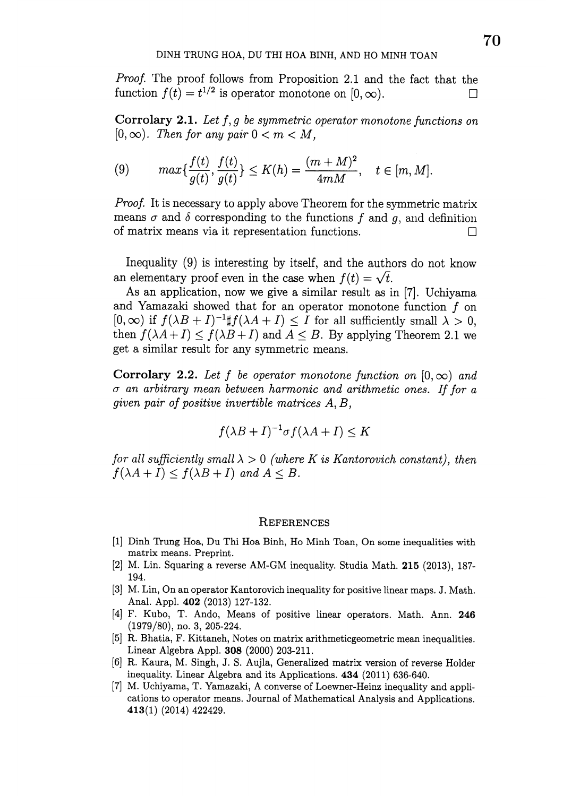Proof. The proof follows from Proposition 2.1 and the fact that the function  $f(t)=t^{1/2}$  is operator monotone on [0,  $\infty$ ). . The state of the state  $\Box$ 

**Corrolary 2.1.** Let  $f, g$  be symmetric operator monotone functions on  $[0, \infty)$ . Then for any pair  $0 < m < M$ ,

(9) 
$$
\max\{\frac{f(t)}{g(t)},\frac{f(t)}{g(t)}\}\leq K(h)=\frac{(m+M)^2}{4mM}, \quad t\in[m,M].
$$

Proof. It is necessary to apply above Theorem for the symmetric matrix means  $\sigma$  and  $\delta$  corresponding to the functions  $f$  and  $g$ , and definition of matrix means via it representation functions.  $\Box$ 

Inequality (9) is interesting by itself, and the authors do not know an elementary proof even in the case when  $f(t)=\sqrt{t}$ .

As an application, now we give a similar result as in [7]. Uchiyama and Yamazaki showed that for an operator monotone function  $f$  on  $[0, \infty)$  if  $f(\lambda B+I)^{-1}\# f(\lambda A+I)\leq I$  for all sufficiently small  $\lambda>0$ , then  $f(\lambda A+I)\leq f(\lambda B+I)$  and  $A\leq B$ . By applying Theorem 2.1 we get a similar result for any symmetric means.

Corrolary 2.2. Let f be operator monotone function on  $[0, \infty)$  and  $\sigma$  an arbitrary mean between harmonic and arithmetic ones. If for a given pair of positive invertible matrices  $A, B$ ,

$$
f(\lambda B + I)^{-1} \sigma f(\lambda A + I) \le K
$$

for all sufficiently small  $\lambda>0$  (where K is Kantorovich constant), then  $f(\lambda A+I)\leq f(\lambda B+I)$  and  $A\leq B$ .

## **REFERENCES**

- [1] Dinh Trung Hoa, Du Thi Hoa Binh, Ho Minh Toan, On some inequalities with matrix means. Preprint.
- [2] M. Lin. Squaring a reverse  $AM-GM$  inequality. Studia Math. 215 (2013), 187-194.
- [3] M. Lin, On an operator Kantorovich inequality for positive linear maps. J. Math. Anal. Appl. 402 (2013) 127-132.
- [4] F. Kubo, T. Ando, Means of positive linear operators. Math. Ann. 246 (1979/80), no. 3, 205-224.
- [5] R. Bhatia, F. Kittaneh, Notes on matrix arithmeticgeometric mean inequalities. Linear Algebra Appl. 308 (2000) 203-211.
- [6] R. Kaura, M. Singh, J. S. Aujla, Generalized matrix version of reverse Holder inequality. Linear Algebra and its Applications. 434 (2011) 636-640.
- [7] M. Uchiyama, T. Yamazaki, A converse of Loewner-Heinz inequality and applications to operator means. Journal of Mathematical Analysis and Applications. 413(1) (2014) 422429.